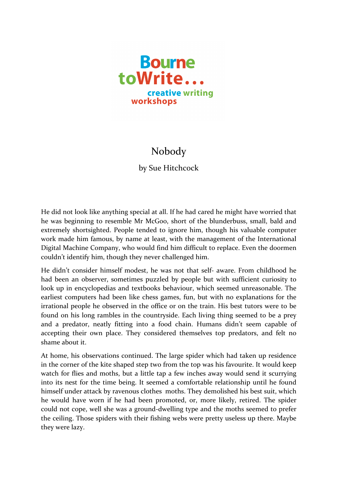

## Nobody

by Sue Hitchcock

He did not look like anything special at all. If he had cared he might have worried that he was beginning to resemble Mr McGoo, short of the blunderbuss, small, bald and extremely shortsighted. People tended to ignore him, though his valuable computer work made him famous, by name at least, with the management of the International Digital Machine Company, who would find him difficult to replace. Even the doormen couldn't identify him, though they never challenged him.

He didn't consider himself modest, he was not that self- aware. From childhood he had been an observer, sometimes puzzled by people but with sufficient curiosity to look up in encyclopedias and textbooks behaviour, which seemed unreasonable. The earliest computers had been like chess games, fun, but with no explanations for the irrational people he observed in the office or on the train. His best tutors were to be found on his long rambles in the countryside. Each living thing seemed to be a prey and a predator, neatly fitting into a food chain. Humans didn't seem capable of accepting their own place. They considered themselves top predators, and felt no shame about it

At home, his observations continued. The large spider which had taken up residence in the corner of the kite shaped step two from the top was his favourite. It would keep watch for flies and moths, but a little tap a few inches away would send it scurrying into its nest for the time being. It seemed a comfortable relationship until he found himself under attack by ravenous clothes moths. They demolished his best suit, which he would have worn if he had been promoted, or, more likely, retired. The spider could not cope, well she was a ground-dwelling type and the moths seemed to prefer the ceiling. Those spiders with their fishing webs were pretty useless up there. Maybe they were lazy.